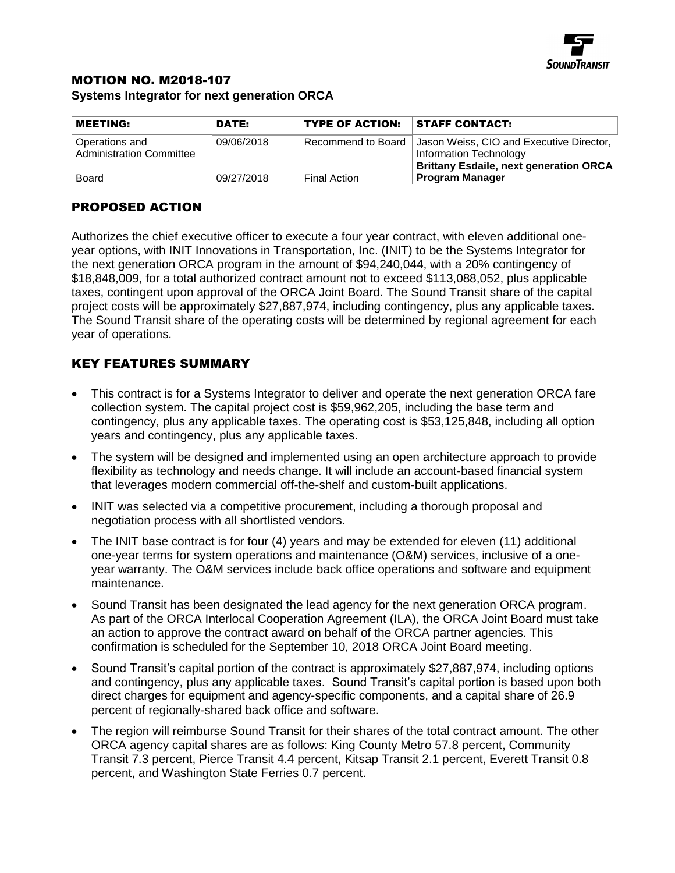

## MOTION NO. M2018-107

**Systems Integrator for next generation ORCA**

| <b>MEETING:</b>                                   | DATE:      | <b>TYPE OF ACTION:</b> | <b>STAFF CONTACT:</b>                                                                                               |
|---------------------------------------------------|------------|------------------------|---------------------------------------------------------------------------------------------------------------------|
| Operations and<br><b>Administration Committee</b> | 09/06/2018 | Recommend to Board     | Jason Weiss, CIO and Executive Director,<br>Information Technology<br><b>Brittany Esdaile, next generation ORCA</b> |
| <b>Board</b>                                      | 09/27/2018 | <b>Final Action</b>    | <b>Program Manager</b>                                                                                              |

## PROPOSED ACTION

Authorizes the chief executive officer to execute a four year contract, with eleven additional oneyear options, with INIT Innovations in Transportation, Inc. (INIT) to be the Systems Integrator for the next generation ORCA program in the amount of \$94,240,044, with a 20% contingency of \$18,848,009, for a total authorized contract amount not to exceed \$113,088,052, plus applicable taxes, contingent upon approval of the ORCA Joint Board. The Sound Transit share of the capital project costs will be approximately \$27,887,974, including contingency, plus any applicable taxes. The Sound Transit share of the operating costs will be determined by regional agreement for each year of operations.

## KEY FEATURES SUMMARY

- This contract is for a Systems Integrator to deliver and operate the next generation ORCA fare collection system. The capital project cost is \$59,962,205, including the base term and contingency, plus any applicable taxes. The operating cost is \$53,125,848, including all option years and contingency, plus any applicable taxes.
- The system will be designed and implemented using an open architecture approach to provide flexibility as technology and needs change. It will include an account-based financial system that leverages modern commercial off-the-shelf and custom-built applications.
- INIT was selected via a competitive procurement, including a thorough proposal and negotiation process with all shortlisted vendors.
- The INIT base contract is for four (4) years and may be extended for eleven (11) additional one-year terms for system operations and maintenance (O&M) services, inclusive of a oneyear warranty. The O&M services include back office operations and software and equipment maintenance.
- Sound Transit has been designated the lead agency for the next generation ORCA program. As part of the ORCA Interlocal Cooperation Agreement (ILA), the ORCA Joint Board must take an action to approve the contract award on behalf of the ORCA partner agencies. This confirmation is scheduled for the September 10, 2018 ORCA Joint Board meeting.
- Sound Transit's capital portion of the contract is approximately \$27,887,974, including options and contingency, plus any applicable taxes. Sound Transit's capital portion is based upon both direct charges for equipment and agency-specific components, and a capital share of 26.9 percent of regionally-shared back office and software.
- The region will reimburse Sound Transit for their shares of the total contract amount. The other ORCA agency capital shares are as follows: King County Metro 57.8 percent, Community Transit 7.3 percent, Pierce Transit 4.4 percent, Kitsap Transit 2.1 percent, Everett Transit 0.8 percent, and Washington State Ferries 0.7 percent.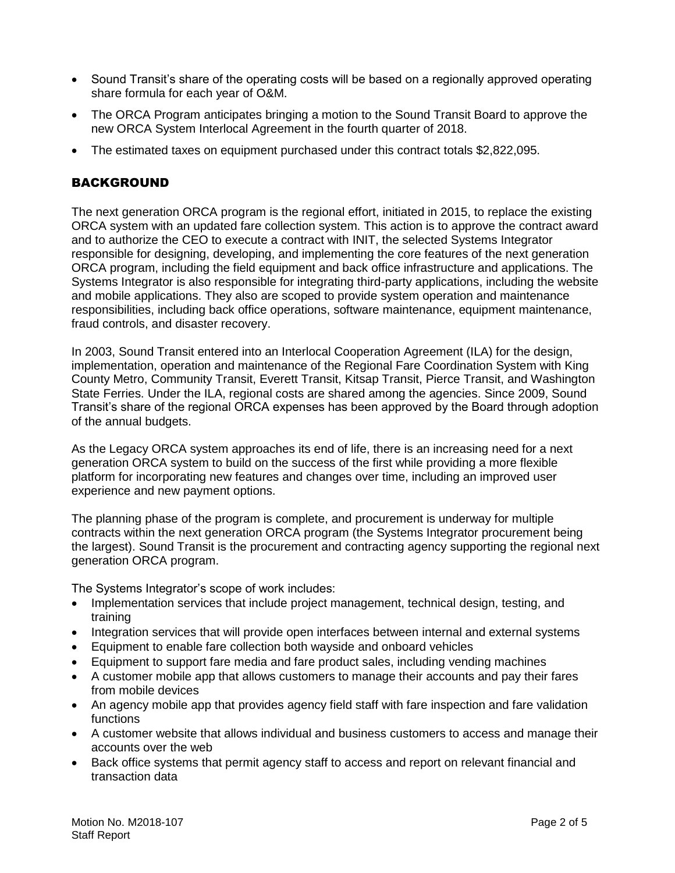- Sound Transit's share of the operating costs will be based on a regionally approved operating share formula for each year of O&M.
- The ORCA Program anticipates bringing a motion to the Sound Transit Board to approve the new ORCA System Interlocal Agreement in the fourth quarter of 2018.
- The estimated taxes on equipment purchased under this contract totals \$2,822,095.

#### BACKGROUND

The next generation ORCA program is the regional effort, initiated in 2015, to replace the existing ORCA system with an updated fare collection system. This action is to approve the contract award and to authorize the CEO to execute a contract with INIT, the selected Systems Integrator responsible for designing, developing, and implementing the core features of the next generation ORCA program, including the field equipment and back office infrastructure and applications. The Systems Integrator is also responsible for integrating third-party applications, including the website and mobile applications. They also are scoped to provide system operation and maintenance responsibilities, including back office operations, software maintenance, equipment maintenance, fraud controls, and disaster recovery.

In 2003, Sound Transit entered into an Interlocal Cooperation Agreement (ILA) for the design, implementation, operation and maintenance of the Regional Fare Coordination System with King County Metro, Community Transit, Everett Transit, Kitsap Transit, Pierce Transit, and Washington State Ferries. Under the ILA, regional costs are shared among the agencies. Since 2009, Sound Transit's share of the regional ORCA expenses has been approved by the Board through adoption of the annual budgets.

As the Legacy ORCA system approaches its end of life, there is an increasing need for a next generation ORCA system to build on the success of the first while providing a more flexible platform for incorporating new features and changes over time, including an improved user experience and new payment options.

The planning phase of the program is complete, and procurement is underway for multiple contracts within the next generation ORCA program (the Systems Integrator procurement being the largest). Sound Transit is the procurement and contracting agency supporting the regional next generation ORCA program.

The Systems Integrator's scope of work includes:

- Implementation services that include project management, technical design, testing, and training
- Integration services that will provide open interfaces between internal and external systems
- Equipment to enable fare collection both wayside and onboard vehicles
- Equipment to support fare media and fare product sales, including vending machines
- A customer mobile app that allows customers to manage their accounts and pay their fares from mobile devices
- An agency mobile app that provides agency field staff with fare inspection and fare validation functions
- A customer website that allows individual and business customers to access and manage their accounts over the web
- Back office systems that permit agency staff to access and report on relevant financial and transaction data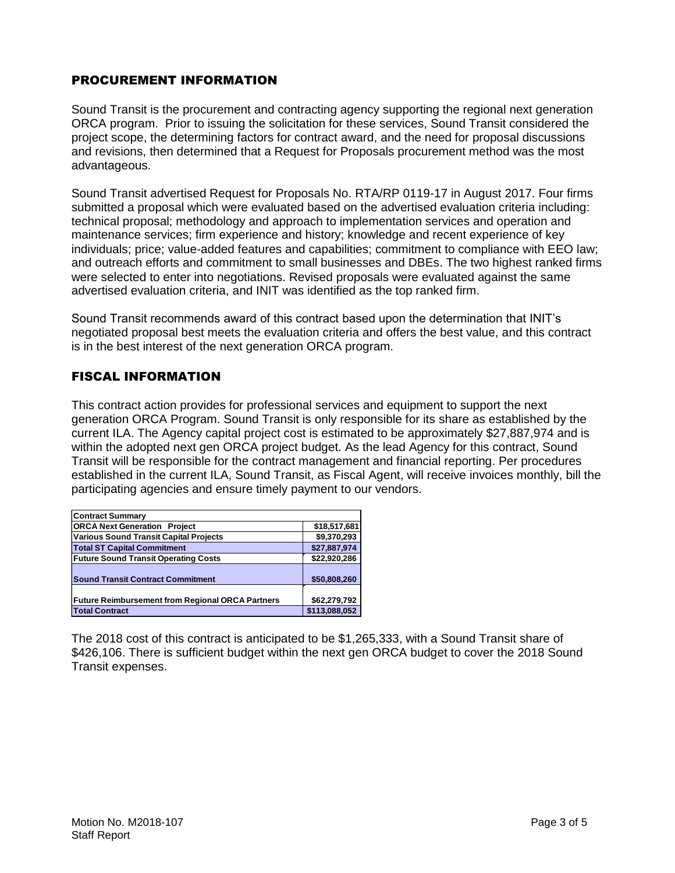#### PROCUREMENT INFORMATION

Sound Transit is the procurement and contracting agency supporting the regional next generation ORCA program. Prior to issuing the solicitation for these services, Sound Transit considered the project scope, the determining factors for contract award, and the need for proposal discussions and revisions, then determined that a Request for Proposals procurement method was the most advantageous.

Sound Transit advertised Request for Proposals No. RTA/RP 0119-17 in August 2017. Four firms submitted a proposal which were evaluated based on the advertised evaluation criteria including: technical proposal; methodology and approach to implementation services and operation and maintenance services; firm experience and history; knowledge and recent experience of key individuals; price; value-added features and capabilities; commitment to compliance with EEO law; and outreach efforts and commitment to small businesses and DBEs. The two highest ranked firms were selected to enter into negotiations. Revised proposals were evaluated against the same advertised evaluation criteria, and INIT was identified as the top ranked firm.

Sound Transit recommends award of this contract based upon the determination that INIT's negotiated proposal best meets the evaluation criteria and offers the best value, and this contract is in the best interest of the next generation ORCA program.

## FISCAL INFORMATION

This contract action provides for professional services and equipment to support the next generation ORCA Program. Sound Transit is only responsible for its share as established by the current ILA. The Agency capital project cost is estimated to be approximately \$27,887,974 and is within the adopted next gen ORCA project budget. As the lead Agency for this contract, Sound Transit will be responsible for the contract management and financial reporting. Per procedures established in the current ILA, Sound Transit, as Fiscal Agent, will receive invoices monthly, bill the participating agencies and ensure timely payment to our vendors.

| <b>Contract Summary</b>                                 |               |  |  |  |  |
|---------------------------------------------------------|---------------|--|--|--|--|
| <b>ORCA Next Generation Project</b>                     | \$18,517,681  |  |  |  |  |
| <b>Various Sound Transit Capital Projects</b>           | \$9,370,293   |  |  |  |  |
| <b>Total ST Capital Commitment</b>                      | \$27,887,974  |  |  |  |  |
| <b>Future Sound Transit Operating Costs</b>             | \$22,920,286  |  |  |  |  |
| <b>Sound Transit Contract Commitment</b>                | \$50,808,260  |  |  |  |  |
| <b>Future Reimbursement from Regional ORCA Partners</b> | \$62,279,792  |  |  |  |  |
| <b>Total Contract</b>                                   | \$113,088,052 |  |  |  |  |

The 2018 cost of this contract is anticipated to be \$1,265,333, with a Sound Transit share of \$426,106. There is sufficient budget within the next gen ORCA budget to cover the 2018 Sound Transit expenses.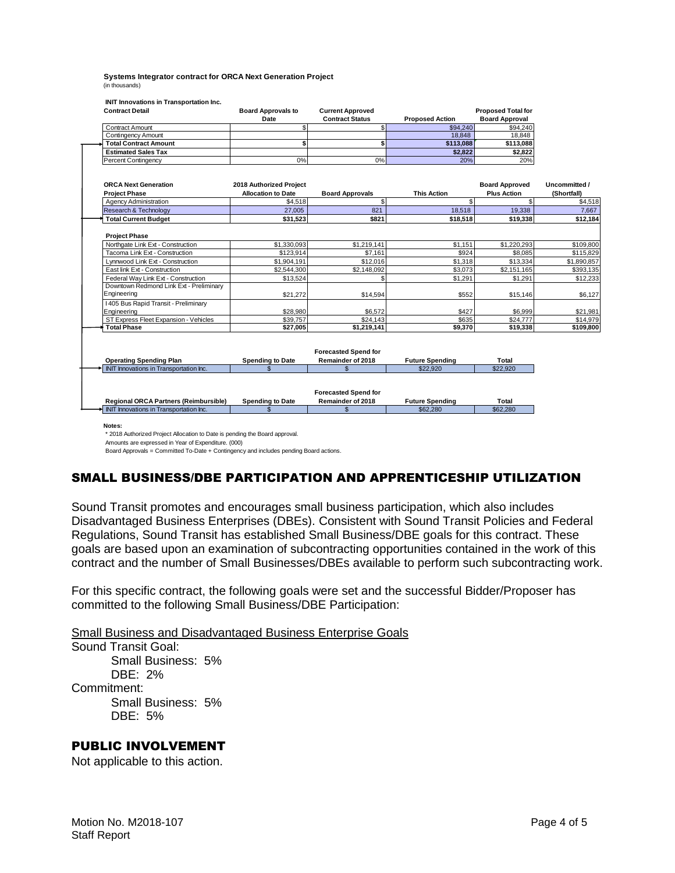**Systems Integrator contract for ORCA Next Generation Project** (in thousands)

 **INIT Innovations in Transportation Inc.** 

| <b>Contract Detail</b>                                                                                                                       | <b>Board Approvals to</b> | <b>Current Approved</b>                          |                        | <b>Proposed Total for</b> |               |
|----------------------------------------------------------------------------------------------------------------------------------------------|---------------------------|--------------------------------------------------|------------------------|---------------------------|---------------|
|                                                                                                                                              | Date                      | <b>Contract Status</b>                           | <b>Proposed Action</b> | <b>Board Approval</b>     |               |
| <b>Contract Amount</b>                                                                                                                       | \$                        | \$                                               | \$94,240               | \$94,240                  |               |
| <b>Contingency Amount</b>                                                                                                                    |                           |                                                  | 18,848                 | 18,848                    |               |
| <b>Total Contract Amount</b>                                                                                                                 | \$                        | \$                                               | \$113,088              | \$113,088                 |               |
| <b>Estimated Sales Tax</b>                                                                                                                   |                           |                                                  | \$2,822                | \$2,822                   |               |
| Percent Contingency                                                                                                                          | 0%                        | 0%                                               | 20%                    | 20%                       |               |
|                                                                                                                                              |                           |                                                  |                        |                           |               |
| <b>ORCA Next Generation</b>                                                                                                                  | 2018 Authorized Project   |                                                  |                        | <b>Board Approved</b>     | Uncommitted / |
| <b>Project Phase</b>                                                                                                                         | <b>Allocation to Date</b> | <b>Board Approvals</b>                           | <b>This Action</b>     | <b>Plus Action</b>        | (Shortfall)   |
|                                                                                                                                              |                           | \$                                               | $\mathbb{S}$           | \$.                       |               |
| <b>Agency Administration</b>                                                                                                                 | \$4,518                   |                                                  |                        |                           |               |
| Research & Technology                                                                                                                        | 27,005                    | 821                                              | 18,518                 | 19,338                    |               |
| <b>Total Current Budget</b>                                                                                                                  | \$31.523                  | \$821                                            | \$18,518               | \$19,338                  |               |
| <b>Project Phase</b>                                                                                                                         |                           |                                                  |                        |                           |               |
| Northqate Link Ext - Construction                                                                                                            | \$1,330,093               | \$1,219,141                                      | \$1,151                | \$1,220,293               | \$109,800     |
| Tacoma Link Ext - Construction                                                                                                               | \$123,914                 | \$7,161                                          | \$924                  | \$8,085                   | \$115,829     |
| Lynnwood Link Ext - Construction                                                                                                             | \$1,904,191               | \$12,016                                         | \$1,318                | \$13,334                  | \$1,890,857   |
| East link Ext - Construction                                                                                                                 | \$2,544,300               | \$2,148,092                                      | \$3,073                | \$2,151,165               | \$393,135     |
| Federal Way Link Ext - Construction                                                                                                          | \$13,524                  |                                                  | \$1,291                | \$1,291                   |               |
| Downtown Redmond Link Ext - Preliminary                                                                                                      |                           |                                                  |                        |                           |               |
| Engineering                                                                                                                                  | \$21,272                  | \$14,594                                         | \$552                  | \$15,146                  |               |
| 1405 Bus Rapid Transit - Preliminary                                                                                                         |                           |                                                  |                        |                           |               |
| Engineering                                                                                                                                  | \$28,980                  | \$6,572                                          | \$427                  | \$6,999                   |               |
| ST Express Fleet Expansion - Vehicles                                                                                                        | \$39,757                  | \$24,143                                         | \$635                  | \$24,777                  |               |
| <b>Total Phase</b>                                                                                                                           | \$27,005                  | \$1,219,141                                      | \$9,370                | \$19,338                  | \$109,800     |
| <b>Operating Spending Plan</b>                                                                                                               | <b>Spending to Date</b>   | <b>Forecasted Spend for</b><br>Remainder of 2018 | <b>Future Spending</b> | Total                     |               |
| INIT Innovations in Transportation Inc.                                                                                                      | $\mathbf{\hat{S}}$        | $\mathbf{s}$                                     | \$22,920               | \$22,920                  |               |
| <b>Regional ORCA Partners (Reimbursible)</b>                                                                                                 | <b>Spending to Date</b>   | <b>Forecasted Spend for</b><br>Remainder of 2018 | <b>Future Spending</b> | Total                     |               |
| INIT Innovations in Transportation Inc.                                                                                                      | $\mathbf{\$}$             | $\mathbf{s}$                                     | \$62,280               | \$62,280                  |               |
|                                                                                                                                              |                           |                                                  |                        |                           |               |
| Notes:<br>* 2018 Authorized Project Allocation to Date is pending the Board approval.<br>Amounts are expressed in Year of Expenditure. (000) |                           |                                                  |                        |                           |               |

# SMALL BUSINESS/DBE PARTICIPATION AND APPRENTICESHIP UTILIZATION

Sound Transit promotes and encourages small business participation, which also includes Disadvantaged Business Enterprises (DBEs). Consistent with Sound Transit Policies and Federal Regulations, Sound Transit has established Small Business/DBE goals for this contract. These goals are based upon an examination of subcontracting opportunities contained in the work of this contract and the number of Small Businesses/DBEs available to perform such subcontracting work.

For this specific contract, the following goals were set and the successful Bidder/Proposer has committed to the following Small Business/DBE Participation:

Small Business and Disadvantaged Business Enterprise Goals

Sound Transit Goal: Small Business: 5% DBE: 2% Commitment: Small Business: 5% DBE: 5%

## PUBLIC INVOLVEMENT

Not applicable to this action.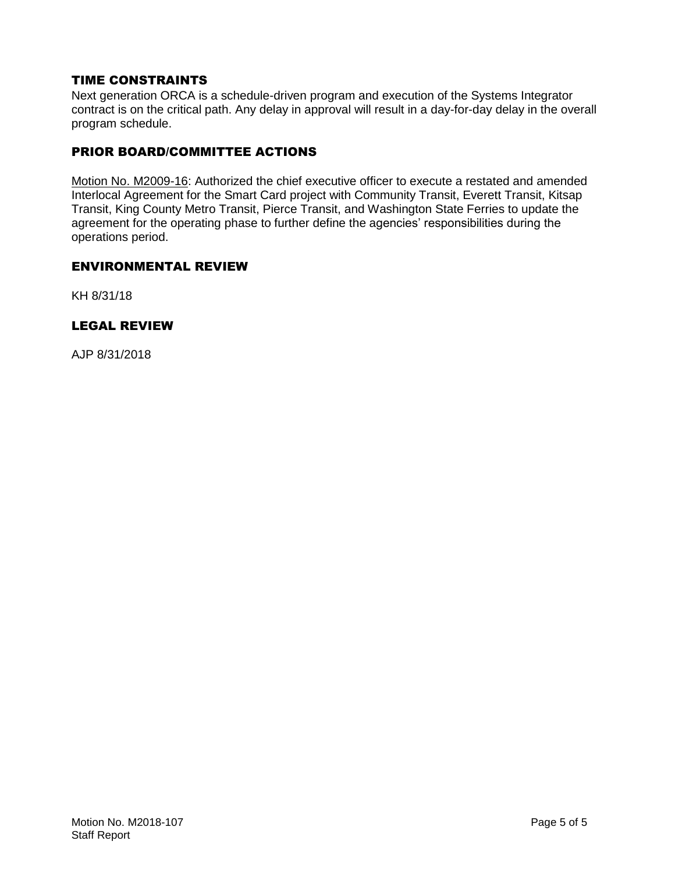#### TIME CONSTRAINTS

Next generation ORCA is a schedule-driven program and execution of the Systems Integrator contract is on the critical path. Any delay in approval will result in a day-for-day delay in the overall program schedule.

#### PRIOR BOARD/COMMITTEE ACTIONS

Motion No. M2009-16: Authorized the chief executive officer to execute a restated and amended Interlocal Agreement for the Smart Card project with Community Transit, Everett Transit, Kitsap Transit, King County Metro Transit, Pierce Transit, and Washington State Ferries to update the agreement for the operating phase to further define the agencies' responsibilities during the operations period.

#### ENVIRONMENTAL REVIEW

KH 8/31/18

#### LEGAL REVIEW

AJP 8/31/2018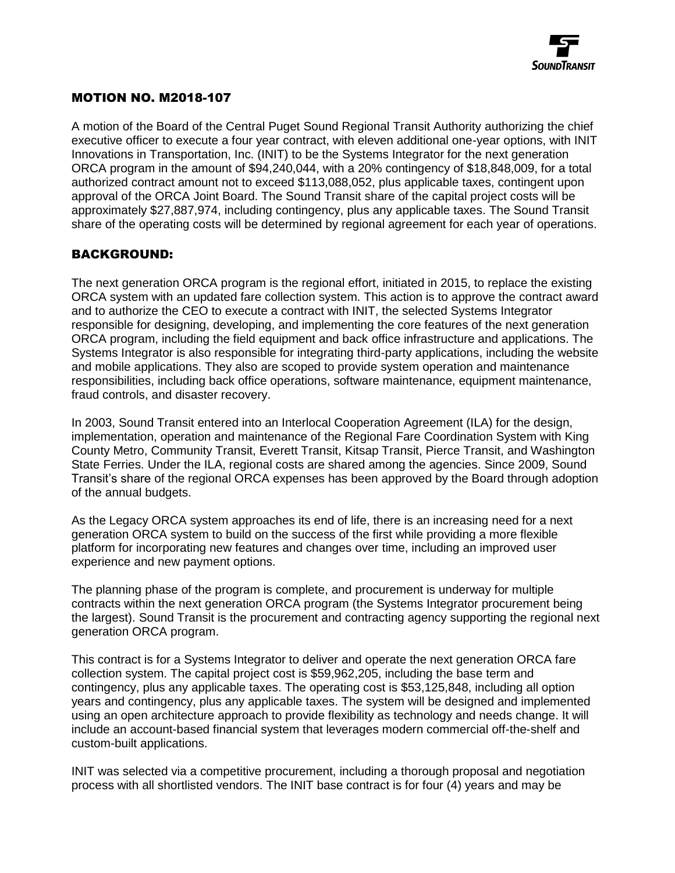

#### MOTION NO. M2018-107

A motion of the Board of the Central Puget Sound Regional Transit Authority authorizing the chief executive officer to execute a four year contract, with eleven additional one-year options, with INIT Innovations in Transportation, Inc. (INIT) to be the Systems Integrator for the next generation ORCA program in the amount of \$94,240,044, with a 20% contingency of \$18,848,009, for a total authorized contract amount not to exceed \$113,088,052, plus applicable taxes, contingent upon approval of the ORCA Joint Board. The Sound Transit share of the capital project costs will be approximately \$27,887,974, including contingency, plus any applicable taxes. The Sound Transit share of the operating costs will be determined by regional agreement for each year of operations.

#### BACKGROUND:

The next generation ORCA program is the regional effort, initiated in 2015, to replace the existing ORCA system with an updated fare collection system. This action is to approve the contract award and to authorize the CEO to execute a contract with INIT, the selected Systems Integrator responsible for designing, developing, and implementing the core features of the next generation ORCA program, including the field equipment and back office infrastructure and applications. The Systems Integrator is also responsible for integrating third-party applications, including the website and mobile applications. They also are scoped to provide system operation and maintenance responsibilities, including back office operations, software maintenance, equipment maintenance, fraud controls, and disaster recovery.

In 2003, Sound Transit entered into an Interlocal Cooperation Agreement (ILA) for the design, implementation, operation and maintenance of the Regional Fare Coordination System with King County Metro, Community Transit, Everett Transit, Kitsap Transit, Pierce Transit, and Washington State Ferries. Under the ILA, regional costs are shared among the agencies. Since 2009, Sound Transit's share of the regional ORCA expenses has been approved by the Board through adoption of the annual budgets.

As the Legacy ORCA system approaches its end of life, there is an increasing need for a next generation ORCA system to build on the success of the first while providing a more flexible platform for incorporating new features and changes over time, including an improved user experience and new payment options.

The planning phase of the program is complete, and procurement is underway for multiple contracts within the next generation ORCA program (the Systems Integrator procurement being the largest). Sound Transit is the procurement and contracting agency supporting the regional next generation ORCA program.

This contract is for a Systems Integrator to deliver and operate the next generation ORCA fare collection system. The capital project cost is \$59,962,205, including the base term and contingency, plus any applicable taxes. The operating cost is \$53,125,848, including all option years and contingency, plus any applicable taxes. The system will be designed and implemented using an open architecture approach to provide flexibility as technology and needs change. It will include an account-based financial system that leverages modern commercial off-the-shelf and custom-built applications.

INIT was selected via a competitive procurement, including a thorough proposal and negotiation process with all shortlisted vendors. The INIT base contract is for four (4) years and may be